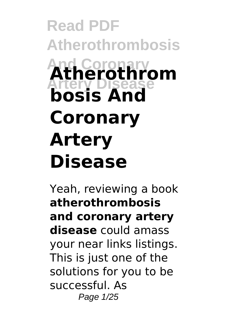# **Read PDF Atherothrombosis And Coronary Artery Disease Atherothrom bosis And Coronary Artery Disease**

Yeah, reviewing a book **atherothrombosis and coronary artery disease** could amass your near links listings. This is just one of the solutions for you to be successful. As Page 1/25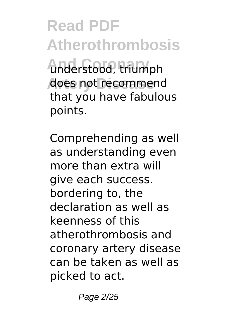**And Coronary** understood, triumph does not recommend that you have fabulous points.

Comprehending as well as understanding even more than extra will give each success. bordering to, the declaration as well as keenness of this atherothrombosis and coronary artery disease can be taken as well as picked to act.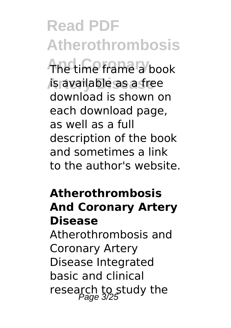The time frame a book **Artery Disease** is available as a free download is shown on each download page, as well as a full description of the book and sometimes a link to the author's website.

#### **Atherothrombosis And Coronary Artery Disease**

Atherothrombosis and Coronary Artery Disease Integrated basic and clinical research to study the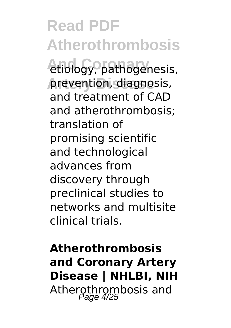**Read PDF Atherothrombosis** etiology, pathogenesis, prevention, diagnosis, and treatment of CAD and atherothrombosis; translation of promising scientific and technological advances from discovery through preclinical studies to networks and multisite clinical trials.

**Atherothrombosis and Coronary Artery Disease | NHLBI, NIH** Atherothrombosis and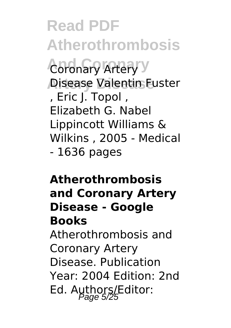**Read PDF Atherothrombosis Coronary Artery** y **Artery Disease** Disease Valentin Fuster , Eric J. Topol , Elizabeth G. Nabel Lippincott Williams & Wilkins , 2005 - Medical - 1636 pages

#### **Atherothrombosis and Coronary Artery Disease - Google Books**

Atherothrombosis and Coronary Artery Disease. Publication Year: 2004 Edition: 2nd Ed. Authors/Editor: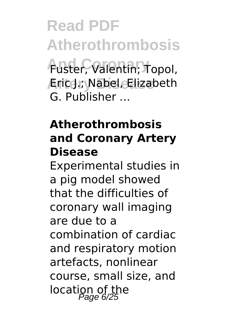**Read PDF Atherothrombosis And Coronary** Fuster, Valentin; Topol, **Artery Disease** Eric J.; Nabel, Elizabeth G. Publisher ...

#### **Atherothrombosis and Coronary Artery Disease**

Experimental studies in a pig model showed that the difficulties of coronary wall imaging are due to a combination of cardiac and respiratory motion artefacts, nonlinear course, small size, and location of the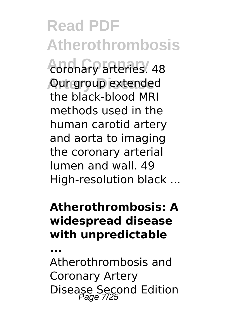**And Coronary** coronary arteries. 48 **Our group extended** the black-blood MRI methods used in the human carotid artery and aorta to imaging the coronary arterial lumen and wall. 49 High-resolution black ...

#### **Atherothrombosis: A widespread disease with unpredictable**

**...**

Atherothrombosis and Coronary Artery Disease Second Edition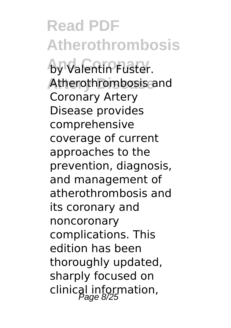**Read PDF Atherothrombosis by Valentin Fuster.** Atherothrombosis and Coronary Artery Disease provides comprehensive coverage of current approaches to the prevention, diagnosis, and management of atherothrombosis and its coronary and noncoronary complications. This edition has been thoroughly updated, sharply focused on clinical information,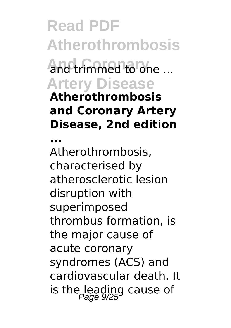### **Read PDF Atherothrombosis And Coronary** and trimmed to one ... **Artery Disease Atherothrombosis and Coronary Artery Disease, 2nd edition**

**...**

Atherothrombosis, characterised by atherosclerotic lesion disruption with superimposed thrombus formation, is the major cause of acute coronary syndromes (ACS) and cardiovascular death. It is the leading cause of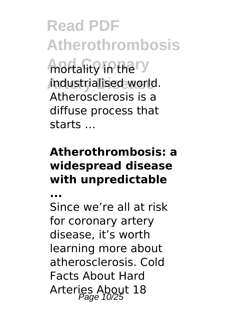**Read PDF Atherothrombosis And rtality in the ry Artery Disease** industrialised world. Atherosclerosis is a diffuse process that starts …

#### **Atherothrombosis: a widespread disease with unpredictable**

**...**

Since we're all at risk for coronary artery disease, it's worth learning more about atherosclerosis. Cold Facts About Hard Arteries About 18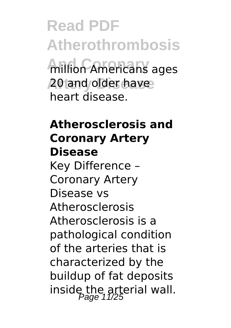**Read PDF Atherothrombosis Million Americans** ages **Artery Disease** 20 and older have heart disease.

#### **Atherosclerosis and Coronary Artery Disease** Key Difference – Coronary Artery Disease vs Atherosclerosis Atherosclerosis is a pathological condition of the arteries that is characterized by the buildup of fat deposits inside the arterial wall.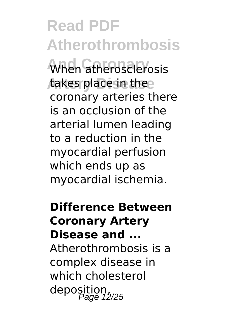When atherosclerosis takes place in thee coronary arteries there is an occlusion of the arterial lumen leading to a reduction in the myocardial perfusion which ends up as myocardial ischemia.

**Difference Between Coronary Artery Disease and ...** Atherothrombosis is a complex disease in which cholesterol deposition, Page 12/25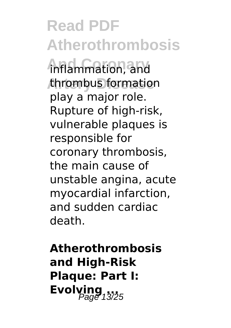**And Coronary** inflammation, and **Artery Disease** thrombus formation play a major role. Rupture of high-risk, vulnerable plaques is responsible for coronary thrombosis, the main cause of unstable angina, acute myocardial infarction, and sudden cardiac death.

**Atherothrombosis and High-Risk Plaque: Part I: Evolving** 13/25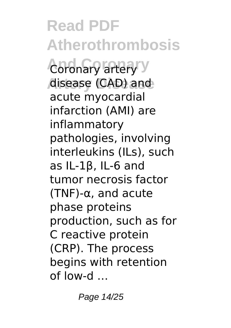**Read PDF Atherothrombosis Coronary artery** y **Artery Disease** disease (CAD) and acute myocardial infarction (AMI) are inflammatory pathologies, involving interleukins (ILs), such as IL-1β, IL-6 and tumor necrosis factor (TNF)-α, and acute phase proteins production, such as for C reactive protein (CRP). The process begins with retention of low-d …

Page 14/25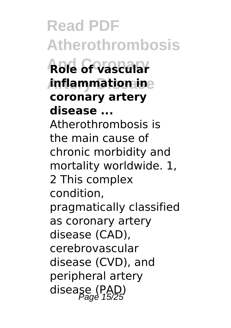**Read PDF Atherothrombosis And Coronary Role of vascular Artery Disease inflammation in coronary artery disease ...** Atherothrombosis is the main cause of chronic morbidity and mortality worldwide. 1, 2 This complex condition, pragmatically classified as coronary artery disease (CAD), cerebrovascular disease (CVD), and peripheral artery disease (PAD)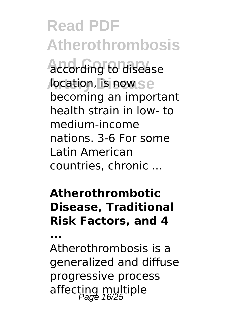**Read PDF Atherothrombosis And Coronary** according to disease *location, is now* se becoming an important health strain in low‐ to medium‐income nations. 3-6 For some Latin American countries, chronic ...

#### **Atherothrombotic Disease, Traditional Risk Factors, and 4**

**...**

Atherothrombosis is a generalized and diffuse progressive process affecting multiple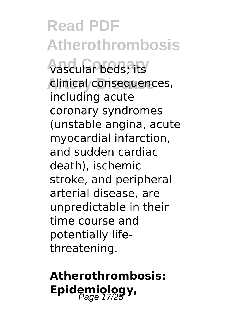**Read PDF Atherothrombosis And Coronary** vascular beds; its **Artery Disease** clinical consequences, including acute coronary syndromes (unstable angina, acute myocardial infarction, and sudden cardiac death), ischemic stroke, and peripheral arterial disease, are unpredictable in their time course and potentially lifethreatening.

### **Atherothrombosis:** Epidemiology,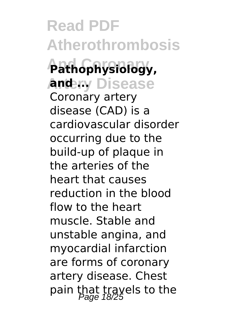**Read PDF Atherothrombosis And Coronary Pathophysiology, Andery Disease** Coronary artery disease (CAD) is a cardiovascular disorder occurring due to the build-up of plaque in the arteries of the heart that causes reduction in the blood flow to the heart muscle. Stable and unstable angina, and myocardial infarction are forms of coronary artery disease. Chest pain that trayels to the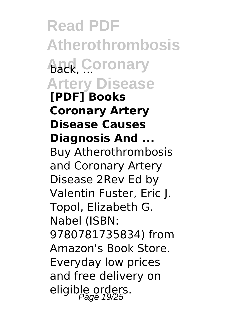**Read PDF Atherothrombosis And Coronary Artery Disease [PDF] Books Coronary Artery Disease Causes Diagnosis And ...** Buy Atherothrombosis and Coronary Artery Disease 2Rev Ed by Valentin Fuster, Eric J. Topol, Elizabeth G. Nabel (ISBN: 9780781735834) from Amazon's Book Store. Everyday low prices and free delivery on eligible orders.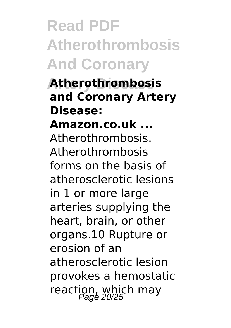## **Read PDF Atherothrombosis And Coronary**

**Artery Disease Atherothrombosis and Coronary Artery Disease: Amazon.co.uk ...** Atherothrombosis. Atherothrombosis forms on the basis of atherosclerotic lesions in 1 or more large arteries supplying the heart, brain, or other organs.10 Rupture or erosion of an atherosclerotic lesion provokes a hemostatic reaction, which may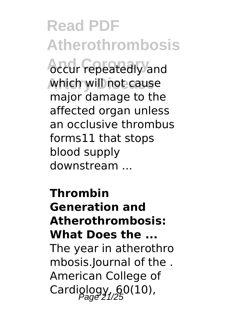*<u>Accur repeatedly</u>* and which will not cause major damage to the affected organ unless an occlusive thrombus forms11 that stops blood supply downstream ...

**Thrombin Generation and Atherothrombosis: What Does the ...** The year in atherothro mbosis.Journal of the . American College of Cardiglogy,  $60(10)$ ,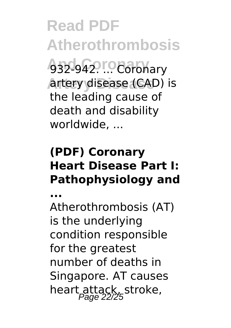**Read PDF Atherothrombosis And Coronary** 932-942. ... Coronary artery disease (CAD) is the leading cause of death and disability worldwide, ...

#### **(PDF) Coronary Heart Disease Part I: Pathophysiology and**

**...**

Atherothrombosis (AT) is the underlying condition responsible for the greatest number of deaths in Singapore. AT causes heart attack, stroke,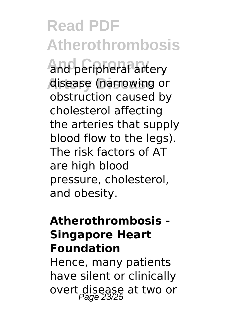and peripheral artery disease (narrowing or obstruction caused by cholesterol affecting the arteries that supply blood flow to the legs). The risk factors of AT are high blood pressure, cholesterol, and obesity.

#### **Atherothrombosis - Singapore Heart Foundation**

Hence, many patients have silent or clinically overt disease at two or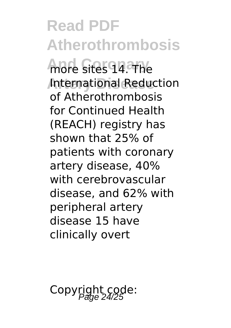**Read PDF Atherothrombosis** more sites 14. The **International Reduction** of Atherothrombosis for Continued Health (REACH) registry has shown that 25% of patients with coronary artery disease, 40% with cerebrovascular disease, and 62% with peripheral artery disease 15 have clinically overt

Copyright code: